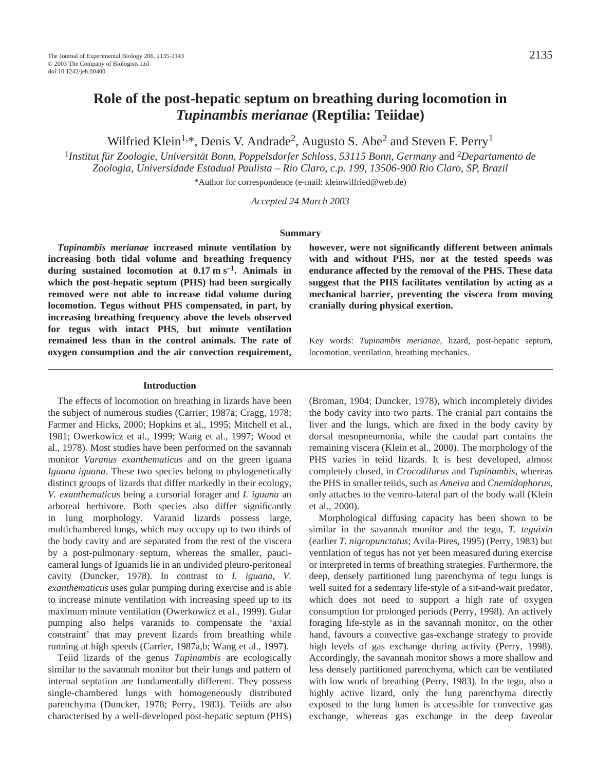# **Role of the post-hepatic septum on breathing during locomotion in** *Tupinambis merianae* **(Reptilia: Teiidae)**

Wilfried Klein<sup>1,\*</sup>, Denis V. Andrade<sup>2</sup>, Augusto S. Abe<sup>2</sup> and Steven F. Perry<sup>1</sup>

<sup>1</sup>*Institut für Zoologie, Universität Bonn, Poppelsdorfer Schloss, 53115 Bonn, Germany* and <sup>2</sup>*Departamento de Zoologia, Universidade Estadual Paulista – Rio Claro, c.p. 199, 13506-900 Rio Claro, SP, Brazil*

\*Author for correspondence (e-mail: kleinwilfried@web.de)

*Accepted 24 March 2003*

#### **Summary**

*Tupinambis merianae* **increased minute ventilation by increasing both tidal volume and breathing frequency** during sustained locomotion at  $0.17 \text{ m s}^{-1}$ . Animals in **which the post-hepatic septum (PHS) had been surgically removed were not able to increase tidal volume during locomotion. Tegus without PHS compensated, in part, by increasing breathing frequency above the levels observed for tegus with intact PHS, but minute ventilation remained less than in the control animals. The rate of oxygen consumption and the air convection requirement,**

#### **Introduction**

The effects of locomotion on breathing in lizards have been the subject of numerous studies (Carrier, 1987a; Cragg, 1978; Farmer and Hicks, 2000; Hopkins et al., 1995; Mitchell et al., 1981; Owerkowicz et al., 1999; Wang et al., 1997; Wood et al., 1978). Most studies have been performed on the savannah monitor *Varanus exanthematicus* and on the green iguana *Iguana iguana*. These two species belong to phylogenetically distinct groups of lizards that differ markedly in their ecology, *V. exanthematicus* being a cursorial forager and *I. iguana* an arboreal herbivore. Both species also differ significantly in lung morphology. Varanid lizards possess large, multichambered lungs, which may occupy up to two thirds of the body cavity and are separated from the rest of the viscera by a post-pulmonary septum, whereas the smaller, paucicameral lungs of Iguanids lie in an undivided pleuro-peritoneal cavity (Duncker, 1978). In contrast to *I. iguana*, *V. exanthematicus* uses gular pumping during exercise and is able to increase minute ventilation with increasing speed up to its maximum minute ventilation (Owerkowicz et al., 1999). Gular pumping also helps varanids to compensate the 'axial constraint' that may prevent lizards from breathing while running at high speeds (Carrier, 1987a,b; Wang et al., 1997).

Teiid lizards of the genus *Tupinambis* are ecologically similar to the savannah monitor but their lungs and pattern of internal septation are fundamentally different. They possess single-chambered lungs with homogeneously distributed parenchyma (Duncker, 1978; Perry, 1983). Teiids are also characterised by a well-developed post-hepatic septum (PHS) **however, were not significantly different between animals with and without PHS, nor at the tested speeds was endurance affected by the removal of the PHS. These data suggest that the PHS facilitates ventilation by acting as a mechanical barrier, preventing the viscera from moving cranially during physical exertion.**

Key words: *Tupinambis merianae*, lizard, post-hepatic septum, locomotion, ventilation, breathing mechanics.

(Broman, 1904; Duncker, 1978), which incompletely divides the body cavity into two parts. The cranial part contains the liver and the lungs, which are fixed in the body cavity by dorsal mesopneumonia, while the caudal part contains the remaining viscera (Klein et al., 2000). The morphology of the PHS varies in teiid lizards. It is best developed, almost completely closed, in *Crocodilurus* and *Tupinambis*, whereas the PHS in smaller teiids, such as *Ameiva* and *Cnemidophorus*, only attaches to the ventro-lateral part of the body wall (Klein et al., 2000).

Morphological diffusing capacity has been shown to be similar in the savannah monitor and the tegu, *T. teguixin* (earlier *T. nigropunctatus*; Avila-Pires, 1995) (Perry, 1983) but ventilation of tegus has not yet been measured during exercise or interpreted in terms of breathing strategies. Furthermore, the deep, densely partitioned lung parenchyma of tegu lungs is well suited for a sedentary life-style of a sit-and-wait predator, which does not need to support a high rate of oxygen consumption for prolonged periods (Perry, 1998). An actively foraging life-style as in the savannah monitor, on the other hand, favours a convective gas-exchange strategy to provide high levels of gas exchange during activity (Perry, 1998). Accordingly, the savannah monitor shows a more shallow and less densely partitioned parenchyma, which can be ventilated with low work of breathing (Perry, 1983). In the tegu, also a highly active lizard, only the lung parenchyma directly exposed to the lung lumen is accessible for convective gas exchange, whereas gas exchange in the deep faveolar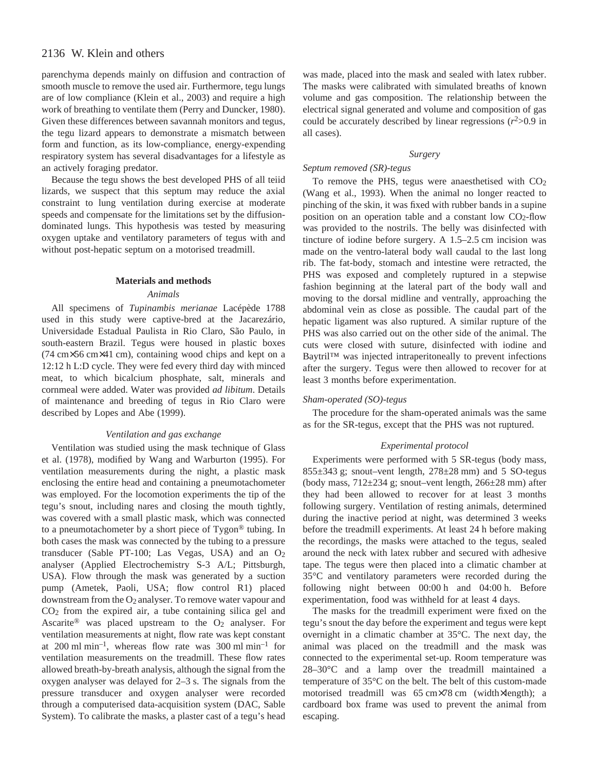# 2136 W. Klein and others

parenchyma depends mainly on diffusion and contraction of smooth muscle to remove the used air. Furthermore, tegu lungs are of low compliance (Klein et al., 2003) and require a high work of breathing to ventilate them (Perry and Duncker, 1980). Given these differences between savannah monitors and tegus, the tegu lizard appears to demonstrate a mismatch between form and function, as its low-compliance, energy-expending respiratory system has several disadvantages for a lifestyle as an actively foraging predator.

Because the tegu shows the best developed PHS of all teiid lizards, we suspect that this septum may reduce the axial constraint to lung ventilation during exercise at moderate speeds and compensate for the limitations set by the diffusiondominated lungs. This hypothesis was tested by measuring oxygen uptake and ventilatory parameters of tegus with and without post-hepatic septum on a motorised treadmill.

#### **Materials and methods**

# *Animals*

All specimens of *Tupinambis merianae* Lacépède 1788 used in this study were captive-bred at the Jacarezário, Universidade Estadual Paulista in Rio Claro, São Paulo, in south-eastern Brazil. Tegus were housed in plastic boxes (74 cm×56 cm×41 cm), containing wood chips and kept on a 12:12 h L:D cycle. They were fed every third day with minced meat, to which bicalcium phosphate, salt, minerals and cornmeal were added. Water was provided *ad libitum*. Details of maintenance and breeding of tegus in Rio Claro were described by Lopes and Abe (1999).

# *Ventilation and gas exchange*

Ventilation was studied using the mask technique of Glass et al. (1978), modified by Wang and Warburton (1995). For ventilation measurements during the night, a plastic mask enclosing the entire head and containing a pneumotachometer was employed. For the locomotion experiments the tip of the tegu's snout, including nares and closing the mouth tightly, was covered with a small plastic mask, which was connected to a pneumotachometer by a short piece of Tygon® tubing. In both cases the mask was connected by the tubing to a pressure transducer (Sable PT-100; Las Vegas, USA) and an O2 analyser (Applied Electrochemistry S-3 A/L; Pittsburgh, USA). Flow through the mask was generated by a suction pump (Ametek, Paoli, USA; flow control R1) placed downstream from the  $O_2$  analyser. To remove water vapour and CO2 from the expired air, a tube containing silica gel and Ascarite<sup>®</sup> was placed upstream to the  $O_2$  analyser. For ventilation measurements at night, flow rate was kept constant at 200 ml min<sup>-1</sup>, whereas flow rate was 300 ml min<sup>-1</sup> for ventilation measurements on the treadmill. These flow rates allowed breath-by-breath analysis, although the signal from the oxygen analyser was delayed for  $2-3s$ . The signals from the pressure transducer and oxygen analyser were recorded through a computerised data-acquisition system (DAC, Sable System). To calibrate the masks, a plaster cast of a tegu's head

was made, placed into the mask and sealed with latex rubber. The masks were calibrated with simulated breaths of known volume and gas composition. The relationship between the electrical signal generated and volume and composition of gas could be accurately described by linear regressions  $(r^2>0.9)$  in all cases).

# *Surgery*

# *Septum removed (SR)-tegus*

To remove the PHS, tegus were anaesthetised with CO2 (Wang et al., 1993). When the animal no longer reacted to pinching of the skin, it was fixed with rubber bands in a supine position on an operation table and a constant low CO2-flow was provided to the nostrils. The belly was disinfected with tincture of iodine before surgery. A  $1.5-2.5$  cm incision was made on the ventro-lateral body wall caudal to the last long rib. The fat-body, stomach and intestine were retracted, the PHS was exposed and completely ruptured in a stepwise fashion beginning at the lateral part of the body wall and moving to the dorsal midline and ventrally, approaching the abdominal vein as close as possible. The caudal part of the hepatic ligament was also ruptured. A similar rupture of the PHS was also carried out on the other side of the animal. The cuts were closed with suture, disinfected with iodine and Baytril™ was injected intraperitoneally to prevent infections after the surgery. Tegus were then allowed to recover for at least 3 months before experimentation.

# *Sham-operated (SO)-tegus*

The procedure for the sham-operated animals was the same as for the SR-tegus, except that the PHS was not ruptured.

#### *Experimental protocol*

Experiments were performed with 5 SR-tegus (body mass,  $855\pm343$  g; snout–vent length,  $278\pm28$  mm) and 5 SO-tegus (body mass,  $712\pm234$  g; snout–vent length,  $266\pm28$  mm) after they had been allowed to recover for at least 3 months following surgery. Ventilation of resting animals, determined during the inactive period at night, was determined 3 weeks before the treadmill experiments. At least 24 h before making the recordings, the masks were attached to the tegus, sealed around the neck with latex rubber and secured with adhesive tape. The tegus were then placed into a climatic chamber at 35°C and ventilatory parameters were recorded during the following night between  $00:00h$  and  $04:00h$ . Before experimentation, food was withheld for at least 4 days.

The masks for the treadmill experiment were fixed on the tegu's snout the day before the experiment and tegus were kept overnight in a climatic chamber at 35°C. The next day, the animal was placed on the treadmill and the mask was connected to the experimental set-up. Room temperature was 28–30°C and a lamp over the treadmill maintained a temperature of 35°C on the belt. The belt of this custom-made motorised treadmill was  $65 \text{ cm} \times 78 \text{ cm}$  (width×length); a cardboard box frame was used to prevent the animal from escaping.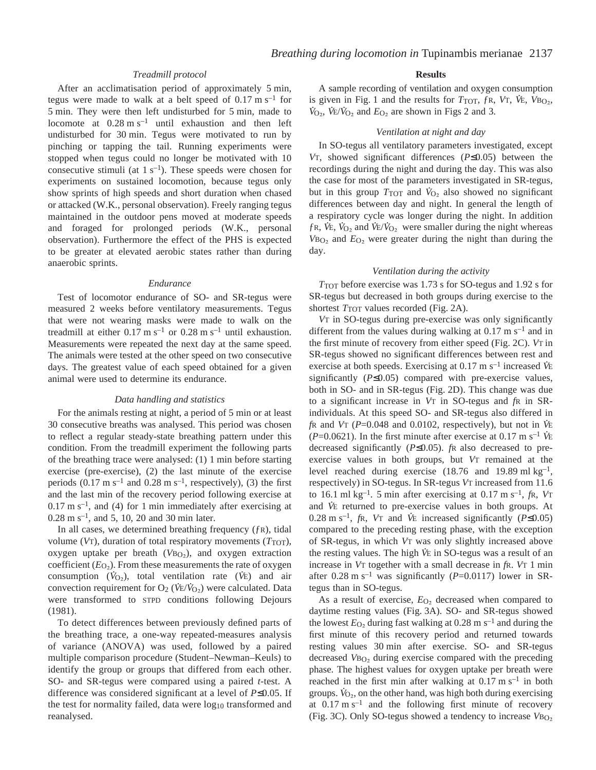# *Treadmill protocol*

After an acclimatisation period of approximately 5 min, tegus were made to walk at a belt speed of  $0.17 \text{ m s}^{-1}$  for 5 min. They were then left undisturbed for 5 min, made to locomote at  $0.28 \text{ m s}^{-1}$  until exhaustion and then left undisturbed for 30 min. Tegus were motivated to run by pinching or tapping the tail. Running experiments were stopped when tegus could no longer be motivated with 10 consecutive stimuli (at  $1 s<sup>-1</sup>$ ). These speeds were chosen for experiments on sustained locomotion, because tegus only show sprints of high speeds and short duration when chased or attacked (W.K., personal observation). Freely ranging tegus maintained in the outdoor pens moved at moderate speeds and foraged for prolonged periods (W.K., personal observation). Furthermore the effect of the PHS is expected to be greater at elevated aerobic states rather than during anaerobic sprints.

#### *Endurance*

Test of locomotor endurance of SO- and SR-tegus were measured 2 weeks before ventilatory measurements. Tegus that were not wearing masks were made to walk on the treadmill at either  $0.17 \text{ m s}^{-1}$  or  $0.28 \text{ m s}^{-1}$  until exhaustion. Measurements were repeated the next day at the same speed. The animals were tested at the other speed on two consecutive days. The greatest value of each speed obtained for a given animal were used to determine its endurance.

#### *Data handling and statistics*

For the animals resting at night, a period of 5 min or at least 30 consecutive breaths was analysed. This period was chosen to reflect a regular steady-state breathing pattern under this condition. From the treadmill experiment the following parts of the breathing trace were analysed:  $(1)$  1 min before starting exercise (pre-exercise), (2) the last minute of the exercise periods  $(0.17 \text{ m s}^{-1}$  and  $0.28 \text{ m s}^{-1}$ , respectively), (3) the first and the last min of the recovery period following exercise at  $0.17~\mathrm{m~s^{-1}}$ , and (4) for 1 min immediately after exercising at  $0.28 \text{ m s}^{-1}$ , and 5, 10, 20 and 30 min later.

In all cases, we determined breathing frequency (ƒR), tidal volume ( $V_T$ ), duration of total respiratory movements ( $T_{TOT}$ ), oxygen uptake per breath  $(VBO<sub>2</sub>)$ , and oxygen extraction coefficient  $(E_{\text{O}_2})$ . From these measurements the rate of oxygen consumption  $(V_{O_2})$ , total ventilation rate  $(V_E)$  and air convection requirement for O<sub>2</sub> ( $\dot{V}E/\dot{V}_{\text{O}_2}$ ) were calculated. Data were transformed to STPD conditions following Dejours (1981).

To detect differences between previously defined parts of the breathing trace, a one-way repeated-measures analysis of variance (ANOVA) was used, followed by a paired multiple comparison procedure (Student–Newman–Keuls) to identify the group or groups that differed from each other. SO- and SR-tegus were compared using a paired *t*-test. A difference was considered significant at a level of *P*≤0.05. If the test for normality failed, data were log<sub>10</sub> transformed and reanalysed.

#### **Results**

A sample recording of ventilation and oxygen consumption . is given in Fig. 1 and the results for  $T_{\text{TOT}}$ ,  $f_{\text{R}}$ ,  $V_{\text{T}}$ ,  $V_{\text{E}}$ ,  $V_{\text{BO}_2}$ , S given in Fig. 1 and the results for  $T_{101}$ ,  $f_{\rm K}$ ,  $V_{\rm O_2}$ ,  $V_{\rm E}/V_{\rm O_2}$  and  $E_{\rm O_2}$  are shown in Figs 2 and 3.

### *Ventilation at night and day*

In SO-tegus all ventilatory parameters investigated, except *V*T, showed significant differences (*P*≤0.05) between the recordings during the night and during the day. This was also the case for most of the parameters investigated in SR-tegus, . but in this group  $T_{\text{TOT}}$  and  $\dot{V}_{\text{O}_2}$  also showed no significant differences between day and night. In general the length of a respiratory cycle was longer during the night. In addition  $f$ R,  $\dot{V}$ E,  $\dot{V}_{O_2}$  and  $\dot{V}$ E/ $\dot{V}_{O_2}$  were smaller during the night whereas  $V_{\text{BO}_2}$  and  $E_{\text{O}_2}$  were greater during the night than during the day.

#### *Ventilation during the activity*

*T*<sub>TOT</sub> before exercise was 1.73 s for SO-tegus and 1.92 s for SR-tegus but decreased in both groups during exercise to the shortest  $T_{\text{TOT}}$  values recorded (Fig. 2A).

*V*T in SO-tegus during pre-exercise was only significantly different from the values during walking at  $0.17 \text{ m s}^{-1}$  and in the first minute of recovery from either speed (Fig. 2C). *V*T in SR-tegus showed no significant differences between rest and exercise at both speeds. Exercising at 0.17 m s<sup>-1</sup> increased *V*E significantly (*P*≤0.05) compared with pre-exercise values, both in SO- and in SR-tegus (Fig. 2D). This change was due to a significant increase in *V*T in SO-tegus and *f*R in SRindividuals. At this speed SO- and SR-tegus also differed in . *f*R and *V*T (*P*=0.048 and 0.0102, respectively), but not in *VE* ( $P=0.0621$ ). In the first minute after exercise at  $0.17 \text{ m s}^{-1}$  *V*E decreased significantly (*P*≤0.05). *f*R also decreased to preexercise values in both groups, but *V*T remained at the level reached during exercise (18.76 and 19.89 ml  $kg^{-1}$ , respectively) in SO-tegus. In SR-tegus *V*T increased from 11.6 to  $16.1 \text{ ml kg}^{-1}$ . 5 min after exercising at  $0.17 \text{ m s}^{-1}$ , *fR*, *VT* and *V*<sub>E</sub> returned to pre-exercise values in both groups. At  $0.28 \text{ m s}^{-1}$ , *f*R, *V*T and *V*<sup>E</sup> increased significantly (*P*≤0.05) compared to the preceding resting phase, with the exception of SR-tegus, in which *V*T was only slightly increased above . the resting values. The high *V* E in SO-tegus was a result of an increase in *V*T together with a small decrease in *f*R. *V*T 1·min after  $0.28 \text{ m s}^{-1}$  was significantly (*P*=0.0117) lower in SRtegus than in SO-tegus.

As a result of exercise,  $E_{\text{O}_2}$  decreased when compared to daytime resting values (Fig. 3A). SO- and SR-tegus showed the lowest  $E<sub>O</sub>$ , during fast walking at 0.28 m s<sup>-1</sup> and during the first minute of this recovery period and returned towards resting values 30 min after exercise. SO- and SR-tegus decreased *V*B<sub>O<sub>2</sub></sub> during exercise compared with the preceding phase. The highest values for oxygen uptake per breath were reached in the first min after walking at  $0.17 \text{ m s}^{-1}$  in both groups.  $\dot{V}_{O_2}$ , on the other hand, was high both during exercising at  $0.17 \text{ m s}^{-1}$  and the following first minute of recovery (Fig.·3C). Only SO-tegus showed a tendency to increase *V*BO∑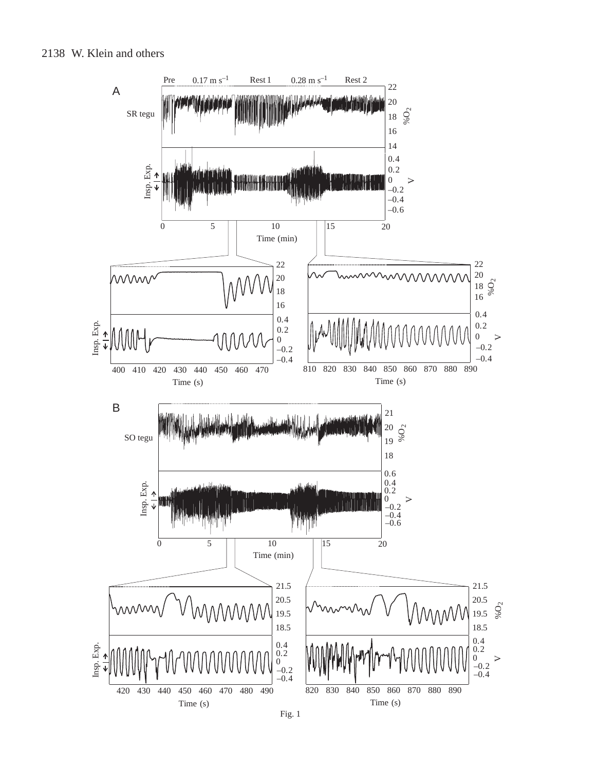# 2138 W. Klein and others



Fig. 1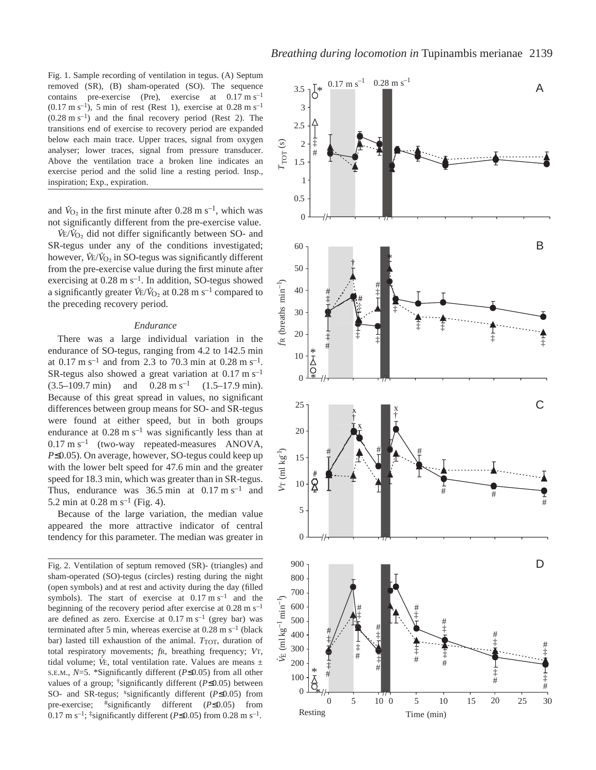Fig. 1. Sample recording of ventilation in tegus. (A) Septum removed (SR), (B) sham-operated (SO). The sequence contains pre-exercise (Pre), exercise at  $0.17 \text{ m s}^{-1}$  $(0.17 \text{ m s}^{-1})$ , 5 min of rest (Rest 1), exercise at 0.28 m s<sup>-1</sup>  $(0.28 \text{ m s}^{-1})$  and the final recovery period (Rest 2). The transitions end of exercise to recovery period are expanded below each main trace. Upper traces, signal from oxygen analyser; lower traces, signal from pressure transducer. Above the ventilation trace a broken line indicates an exercise period and the solid line a resting period. Insp., inspiration; Exp., expiration.

and  $\dot{V}_{\text{O}_2}$  in the first minute after 0.28 m s<sup>-1</sup>, which was not significantly different from the pre-exercise value.

V<sub>E</sub>/V<sub>O<sub>2</sub></sub> did not differ significantly between SO- and SR-tegus under any of the conditions investigated; however,  $\vec{V}$ E/ $\vec{V}_{O_2}$  in SO-tegus was significantly different from the pre-exercise value during the first minute after exercising at  $0.28 \text{ m s}^{-1}$ . In addition, SO-tegus showed a significantly greater  $V_{E}/V_{O_2}$  at 0.28 m s<sup>-1</sup> compared to the preceding recovery period.

### *Endurance*

There was a large individual variation in the endurance of SO-tegus, ranging from 4.2 to 142.5 min at  $0.17 \text{ m s}^{-1}$  and from 2.3 to 70.3 min at 0.28 m s<sup>-1</sup>. SR-tegus also showed a great variation at  $0.17 \text{ m s}^{-1}$  $(3.5-109.7\text{ min})$  and  $0.28 \text{ m s}^{-1}$   $(1.5-17.9\text{ min})$ . Because of this great spread in values, no significant differences between group means for SO- and SR-tegus were found at either speed, but in both groups endurance at  $0.28 \text{ m s}^{-1}$  was significantly less than at  $0.17 \text{ m s}^{-1}$  (two-way repeated-measures ANOVA, *P*≤0.05). On average, however, SO-tegus could keep up with the lower belt speed for 47.6 min and the greater speed for 18.3 min, which was greater than in SR-tegus. Thus, endurance was  $36.5 \text{ min}$  at  $0.17 \text{ m s}^{-1}$  and 5.2 min at  $0.28 \text{ m s}^{-1}$  (Fig. 4).

Because of the large variation, the median value appeared the more attractive indicator of central tendency for this parameter. The median was greater in

Fig. 2. Ventilation of septum removed (SR)- (triangles) and sham-operated (SO)-tegus (circles) resting during the night (open symbols) and at rest and activity during the day (filled symbols). The start of exercise at  $0.17 \text{ m s}^{-1}$  and the beginning of the recovery period after exercise at  $0.28 \text{ m s}^{-1}$ are defined as zero. Exercise at  $0.17 \text{ m s}^{-1}$  (grey bar) was terminated after 5 min, whereas exercise at  $0.28 \text{ m s}^{-1}$  (black bar) lasted till exhaustion of the animal. *T*<sub>TOT</sub>, duration of total respiratory movements; *f*R, breathing frequency; *V*T, . tidal volume; *V* E, total ventilation rate. Values are means ± S.E.M., *N*=5. \*Significantly different (*P*≤0.05) from all other values of a group; †significantly different (*P*≤0.05) between SO- and SR-tegus; <sup>x</sup>significantly different (*P*≤0.05) from pre-exercise; #significantly different (*P*≤0.05) from 0.17 m s<sup>-1</sup>; <sup>‡</sup>significantly different ( $P \le 0.05$ ) from 0.28 m s<sup>-1</sup>.

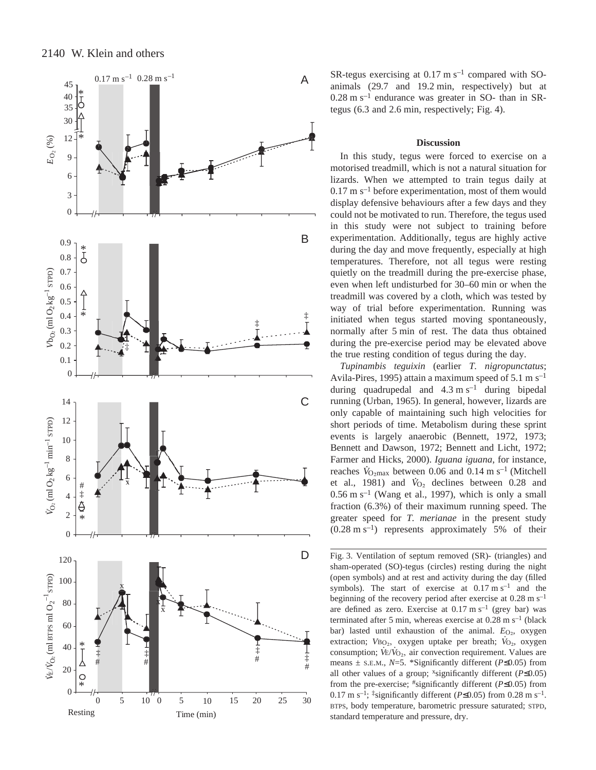

SR-tegus exercising at  $0.17 \text{ m s}^{-1}$  compared with SOanimals  $(29.7 \text{ and } 19.2 \text{ min}, \text{ respectively})$  but at  $0.28 \text{ m s}^{-1}$  endurance was greater in SO- than in SRtegus  $(6.3 \text{ and } 2.6 \text{ min}, \text{respectively}; \text{Fig. 4}).$ 

#### **Discussion**

In this study, tegus were forced to exercise on a motorised treadmill, which is not a natural situation for lizards. When we attempted to train tegus daily at  $0.17~\mathrm{m~s^{-1}}$  before experimentation, most of them would display defensive behaviours after a few days and they could not be motivated to run. Therefore, the tegus used in this study were not subject to training before experimentation. Additionally, tegus are highly active during the day and move frequently, especially at high temperatures. Therefore, not all tegus were resting quietly on the treadmill during the pre-exercise phase, even when left undisturbed for 30–60 min or when the treadmill was covered by a cloth, which was tested by way of trial before experimentation. Running was initiated when tegus started moving spontaneously, normally after 5 min of rest. The data thus obtained during the pre-exercise period may be elevated above the true resting condition of tegus during the day.

*Tupinambis teguixin* (earlier *T. nigropunctatus*; Avila-Pires, 1995) attain a maximum speed of 5.1 m s<sup>-1</sup> during quadrupedal and  $4.3 \text{ m s}^{-1}$  during bipedal running (Urban, 1965). In general, however, lizards are only capable of maintaining such high velocities for short periods of time. Metabolism during these sprint events is largely anaerobic (Bennett, 1972, 1973; Bennett and Dawson, 1972; Bennett and Licht, 1972; Farmer and Hicks, 2000). *Iguana iguana*, for instance, Farmer and Hicks, 2000). *Iguana iguana*, for instance,<br>reaches  $V_{\text{O}_{2\text{max}}}$  between 0.06 and 0.14 m s<sup>-1</sup> (Mitchell et al., 1981) and  $\dot{V}_{O_2}$  declines between 0.28 and  $0.56 \text{ m s}^{-1}$  (Wang et al., 1997), which is only a small fraction (6.3%) of their maximum running speed. The greater speed for *T. merianae* in the present study  $(0.28 \text{ m s}^{-1})$  represents approximately 5% of their

Fig. 3. Ventilation of septum removed (SR)- (triangles) and sham-operated (SO)-tegus (circles) resting during the night (open symbols) and at rest and activity during the day (filled symbols). The start of exercise at  $0.17 \text{ m s}^{-1}$  and the beginning of the recovery period after exercise at  $0.28 \text{ m s}^{-1}$ are defined as zero. Exercise at  $0.17 \text{ m s}^{-1}$  (grey bar) was terminated after 5 min, whereas exercise at  $0.28 \text{ m s}^{-1}$  (black bar) lasted until exhaustion of the animal. *E*<sub>O2</sub>, oxygen extraction; *V*B<sub>O2</sub>, oxygen uptake per breath; *V*<sub>O2</sub>, oxygen consumption;  $\dot{V}E/\dot{V}_{O_2}$ , air convection requirement. Values are means ± S.E.M., *N*=5. \*Significantly different (*P*≤0.05) from all other values of a group; xsignificantly different (*P*≤0.05) from the pre-exercise; #significantly different (*P*≤0.05) from 0.17 m s<sup>-1</sup>; <sup>‡</sup>significantly different ( $P \le 0.05$ ) from 0.28 m s<sup>-1</sup>. BTPS, body temperature, barometric pressure saturated; STPD, standard temperature and pressure, dry.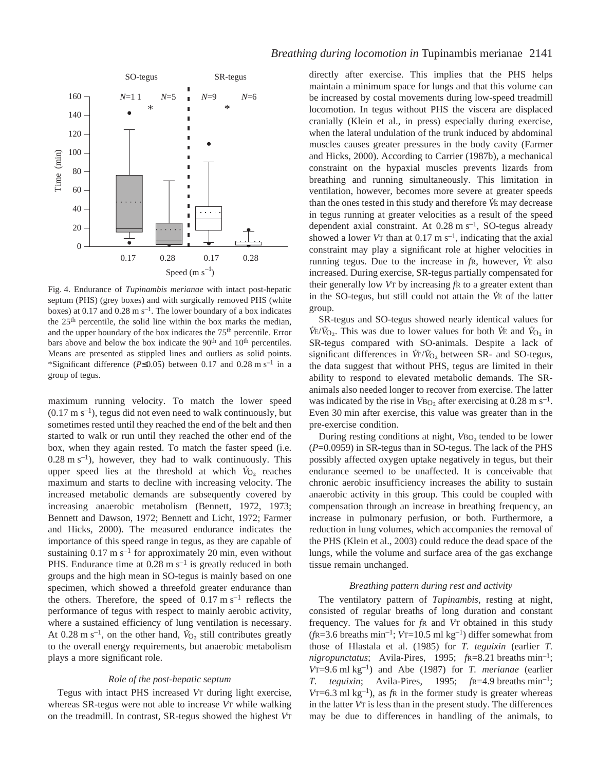

Fig. 4. Endurance of *Tupinambis merianae* with intact post-hepatic septum (PHS) (grey boxes) and with surgically removed PHS (white boxes) at 0.17 and 0.28 m  $s^{-1}$ . The lower boundary of a box indicates the 25th percentile, the solid line within the box marks the median, and the upper boundary of the box indicates the 75<sup>th</sup> percentile. Error bars above and below the box indicate the 90<sup>th</sup> and 10<sup>th</sup> percentiles. Means are presented as stippled lines and outliers as solid points. \*Significant difference ( $P \le 0.05$ ) between 0.17 and 0.28 m s<sup>-1</sup> in a group of tegus.

maximum running velocity. To match the lower speed  $(0.17 \text{ m s}^{-1})$ , tegus did not even need to walk continuously, but sometimes rested until they reached the end of the belt and then started to walk or run until they reached the other end of the box, when they again rested. To match the faster speed (i.e.  $(0.28 \text{ m s}^{-1})$ , however, they had to walk continuously. This upper speed lies at the threshold at which  $\dot{V}_{O_2}$  reaches maximum and starts to decline with increasing velocity. The increased metabolic demands are subsequently covered by increasing anaerobic metabolism (Bennett, 1972, 1973; Bennett and Dawson, 1972; Bennett and Licht, 1972; Farmer and Hicks, 2000). The measured endurance indicates the importance of this speed range in tegus, as they are capable of sustaining  $0.17 \text{ m s}^{-1}$  for approximately 20 min, even without PHS. Endurance time at  $0.28 \text{ m s}^{-1}$  is greatly reduced in both groups and the high mean in SO-tegus is mainly based on one specimen, which showed a threefold greater endurance than the others. Therefore, the speed of  $0.17 \text{ m s}^{-1}$  reflects the performance of tegus with respect to mainly aerobic activity, where a sustained efficiency of lung ventilation is necessary. At  $0.28 \text{ m s}^{-1}$ , on the other hand,  $\dot{V}_{\text{O}_2}$  still contributes greatly to the overall energy requirements, but anaerobic metabolism plays a more significant role.

#### *Role of the post-hepatic septum*

Tegus with intact PHS increased *V*T during light exercise, whereas SR-tegus were not able to increase *V*T while walking on the treadmill. In contrast, SR-tegus showed the highest *V*T directly after exercise. This implies that the PHS helps maintain a minimum space for lungs and that this volume can be increased by costal movements during low-speed treadmill locomotion. In tegus without PHS the viscera are displaced cranially (Klein et al., in press) especially during exercise, when the lateral undulation of the trunk induced by abdominal muscles causes greater pressures in the body cavity (Farmer and Hicks, 2000). According to Carrier (1987b), a mechanical constraint on the hypaxial muscles prevents lizards from breathing and running simultaneously. This limitation in ventilation, however, becomes more severe at greater speeds . than the ones tested in this study and therefore *V* E may decrease in tegus running at greater velocities as a result of the speed dependent axial constraint. At  $0.28 \text{ m s}^{-1}$ , SO-tegus already showed a lower *V*T than at  $0.17 \text{ m s}^{-1}$ , indicating that the axial constraint may play a significant role at higher velocities in . running tegus. Due to the increase in *f*R, however, *V* E also increased. During exercise, SR-tegus partially compensated for their generally low *V*T by increasing *f*R to a greater extent than . in the SO-tegus, but still could not attain the *V* E of the latter group.

SR-tegus and SO-tegus showed nearly identical values for  $V_{E}/V_{O_2}$ . This was due to lower values for both *V*E and  $V_{O_2}$  in SR-tegus compared with SO-animals. Despite a lack of significant differences in  $\vec{V}$ E/ $\vec{V}_{O_2}$  between SR- and SO-tegus, the data suggest that without PHS, tegus are limited in their ability to respond to elevated metabolic demands. The SRanimals also needed longer to recover from exercise. The latter was indicated by the rise in  $V_{BO_2}$  after exercising at 0.28 m s<sup>-1</sup>. Even 30 min after exercise, this value was greater than in the pre-exercise condition.

During resting conditions at night, *V*B<sub>O2</sub> tended to be lower (*P*=0.0959) in SR-tegus than in SO-tegus. The lack of the PHS possibly affected oxygen uptake negatively in tegus, but their endurance seemed to be unaffected. It is conceivable that chronic aerobic insufficiency increases the ability to sustain anaerobic activity in this group. This could be coupled with compensation through an increase in breathing frequency, an increase in pulmonary perfusion, or both. Furthermore, a reduction in lung volumes, which accompanies the removal of the PHS (Klein et al., 2003) could reduce the dead space of the lungs, while the volume and surface area of the gas exchange tissue remain unchanged.

#### *Breathing pattern during rest and activity*

The ventilatory pattern of *Tupinambis*, resting at night, consisted of regular breaths of long duration and constant frequency. The values for *f*R and *V*T obtained in this study  $(f_{\text{R}}=3.6 \text{ breaths min}^{-1}; V_{\text{T}}=10.5 \text{ ml kg}^{-1})$  differ somewhat from those of Hlastala et al. (1985) for *T. teguixin* (earlier *T. nigropunctatus*; Avila-Pires, 1995;  $f \approx R = 8.21$  breaths min<sup>-1</sup>; *V*T=9.6 ml kg<sup>-1</sup>) and Abe (1987) for *T. merianae* (earlier *T. teguixin*; Avila-Pires, 1995;  $fR=4.9$  breaths min<sup>-1</sup>; *V*T=6.3 ml  $kg^{-1}$ ), as *f*R in the former study is greater whereas in the latter *V*T is less than in the present study. The differences may be due to differences in handling of the animals, to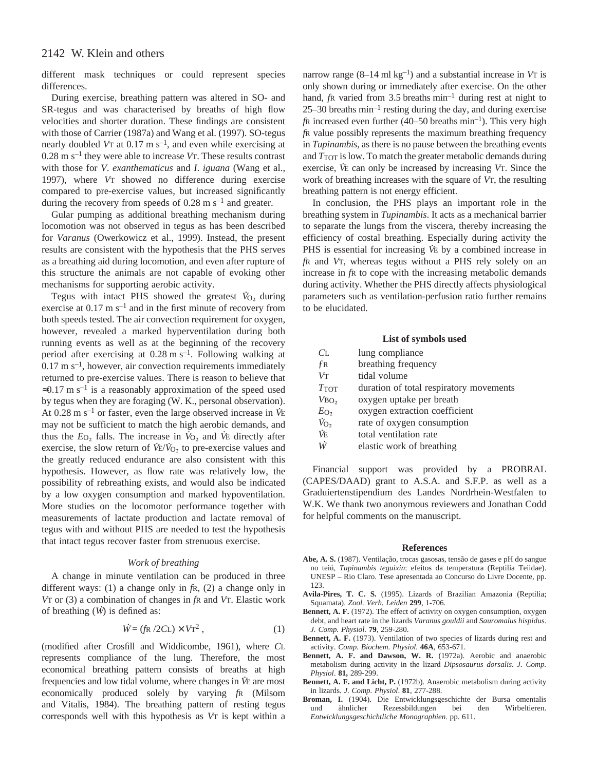different mask techniques or could represent species differences.

During exercise, breathing pattern was altered in SO- and SR-tegus and was characterised by breaths of high flow velocities and shorter duration. These findings are consistent with those of Carrier (1987a) and Wang et al. (1997). SO-tegus nearly doubled V<sub>T</sub> at 0.17 m s<sup>-1</sup>, and even while exercising at  $0.28 \text{ m s}^{-1}$  they were able to increase *V*T. These results contrast with those for *V*. *exanthematicus* and *I*. *iguana* (Wang et al., 1997), where *V*T showed no difference during exercise compared to pre-exercise values, but increased significantly during the recovery from speeds of  $0.28 \text{ m s}^{-1}$  and greater.

Gular pumping as additional breathing mechanism during locomotion was not observed in tegus as has been described for *Varanus* (Owerkowicz et al., 1999). Instead, the present results are consistent with the hypothesis that the PHS serves as a breathing aid during locomotion, and even after rupture of this structure the animals are not capable of evoking other mechanisms for supporting aerobic activity.

Tegus with intact PHS showed the greatest *V* . <sup>O</sup>∑ during exercise at  $0.17~\mathrm{m~s^{-1}}$  and in the first minute of recovery from both speeds tested. The air convection requirement for oxygen, however, revealed a marked hyperventilation during both running events as well as at the beginning of the recovery period after exercising at  $0.28 \text{ m s}^{-1}$ . Following walking at  $0.17~\mathrm{m~s^{-1}}$ , however, air convection requirements immediately returned to pre-exercise values. There is reason to believe that  $\approx 0.17$  m s<sup>-1</sup> is a reasonably approximation of the speed used by tegus when they are foraging (W. K., personal observation). At  $0.28 \text{ m s}^{-1}$  or faster, even the large observed increase in *V*E may not be sufficient to match the high aerobic demands, and thus the  $E_{\text{O}_2}$  falls. The increase in  $V_{\text{O}_2}$  and *V*E directly after exercise, the slow return of  $\dot{V} \dot{\epsilon}/\dot{V}_{O_2}$  to pre-exercise values and the greatly reduced endurance are also consistent with this hypothesis. However, as flow rate was relatively low, the possibility of rebreathing exists, and would also be indicated by a low oxygen consumption and marked hypoventilation. More studies on the locomotor performance together with measurements of lactate production and lactate removal of tegus with and without PHS are needed to test the hypothesis that intact tegus recover faster from strenuous exercise.

# *Work of breathing*

A change in minute ventilation can be produced in three different ways: (1) a change only in *f*R, (2) a change only in *V*T or (3) a combination of changes in *f*R and *V*T. Elastic work . of breathing (*W* ) is defined as:

$$
\dot{W} = (f\hbar / 2CL) \times V\tau^2 , \qquad (1)
$$

(modified after Crosfill and Widdicombe, 1961), where *C*L represents compliance of the lung. Therefore, the most economical breathing pattern consists of breaths at high . frequencies and low tidal volume, where changes in VE are most economically produced solely by varying *f*R (Milsom and Vitalis, 1984). The breathing pattern of resting tegus corresponds well with this hypothesis as *V*T is kept within a

narrow range  $(8-14 \text{ ml kg}^{-1})$  and a substantial increase in *VT* is only shown during or immediately after exercise. On the other hand, *f*R varied from 3.5 breaths  $min^{-1}$  during rest at night to  $25-30$  breaths min<sup>-1</sup> resting during the day, and during exercise  $f$ R increased even further (40–50 breaths  $min^{-1}$ ). This very high *f*R value possibly represents the maximum breathing frequency in *Tupinambis,* as there is no pause between the breathing events and  $T_{\text{TOT}}$  is low. To match the greater metabolic demands during exercise, *V* E can only be increased by increasing *V*T. Since the work of breathing increases with the square of *V*T, the resulting breathing pattern is not energy efficient.

In conclusion, the PHS plays an important role in the breathing system in *Tupinambis*. It acts as a mechanical barrier to separate the lungs from the viscera, thereby increasing the efficiency of costal breathing. Especially during activity the PHS is essential for increasing *V* E by a combined increase in *f*R and *V*T, whereas tegus without a PHS rely solely on an increase in *f*R to cope with the increasing metabolic demands during activity. Whether the PHS directly affects physiological parameters such as ventilation-perfusion ratio further remains to be elucidated.

#### **List of symbols used**

| CL.                | lung compliance                         |
|--------------------|-----------------------------------------|
| $f_{R}$            | breathing frequency                     |
| $V\text{T}$        | tidal volume                            |
| $T_{\text{TOT}}$   | duration of total respiratory movements |
| $V_{\text{BO}_2}$  | oxygen uptake per breath                |
| $E_{\text{O}_2}$   | oxygen extraction coefficient           |
| $\dot{V}_{\rm O2}$ | rate of oxygen consumption              |
| ЙE                 | total ventilation rate                  |
| W.                 | elastic work of breathing               |

Financial support was provided by a PROBRAL (CAPES/DAAD) grant to A.S.A. and S.F.P. as well as a Graduiertenstipendium des Landes Nordrhein-Westfalen to W.K. We thank two anonymous reviewers and Jonathan Codd for helpful comments on the manuscript.

#### **References**

- **Abe, A. S.** (1987). Ventilação, trocas gasosas, tensão de gases e pH do sangue no teiú, *Tupinambis teguixin*: efeitos da temperatura (Reptilia Teiidae). UNESP – Rio Claro. Tese apresentada ao Concurso do Livre Docente, pp. 123.
- **Avila-Pires, T. C. S.** (1995). Lizards of Brazilian Amazonia (Reptilia; Squamata). *Zool. Verh. Leiden* **299**, 1-706.
- **Bennett, A. F.** (1972). The effect of activity on oxygen consumption, oxygen debt, and heart rate in the lizards *Varanus gouldii* and *Sauromalus hispidus*. *J. Comp. Physiol.* **79**, 259-280.
- **Bennett, A. F.** (1973). Ventilation of two species of lizards during rest and activity. *Comp. Biochem. Physiol.* **46A**, 653-671.
- Bennett, A. F. and Dawson, W. R. (1972a). Aerobic and anaerobic metabolism during activity in the lizard *Dipsosaurus dorsalis*. *J. Comp. Physiol*. **81,** 289-299.
- **Bennett, A. F. and Licht, P.** (1972b). Anaerobic metabolism during activity in lizards. *J. Comp. Physiol*. **81**, 277-288.
- **Broman, I.** (1904). Die Entwicklungsgeschichte der Bursa omentalis und ähnlicher Rezessbildungen bei den Wirbeltieren. *Entwicklungsgeschichtliche Monographien.* pp. 611.